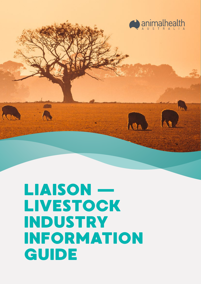

# LIAISON — LIVESTOCK INDUSTRY INFORMATION GUIDE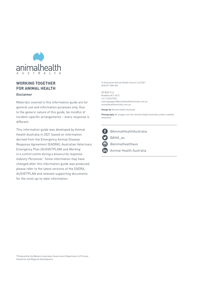

#### **WORKING TOGETHER FOR ANIMAL HEALTH**

#### **Disclaimer**

Materials covered in this information guide are for general use and information purposes only. Due to the generic nature of this guide, be mindful of incident-specific arrangements – every response is different.

This information guide was developed by Animal Health Australia in 2021 based on information derived from the Emergency Animal Disease Response Agreement (EADRA), Australian Veterinary Emergency Plan (AUSVETPLAN) and *Working in a control centre during a biosecurity response:*  Industry Personnel.<sup>\*</sup> Some information may have changed after this information guide was produced; please refer to the latest versions of the EADRA, AUSVETPLAN and relevant supporting documents for the most up-to-date information.

© Australian Animal Health Council Ltd 2021 ACN 071 890 956

PO BOX 5116 Braddon ACT 2612 +61 2 6232 5522 trainingsupport@animalhealthaustralia.com.au [animalhealthaustralia.com.au](http://www.animalhealthaustralia.com.au)

**Design by** Animal Health Australia

**Photography** All images are from Animal Health Australia unless credited otherwise



@AHA\_au

ම) @animalhealthaus

Animal Health Australiain

\*Produced by the Western Australian Government Department of Primary Industries and Regional Development.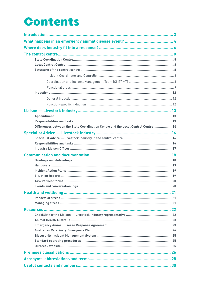## **Contents**

| Differences between the State Coordination Centre and the Local Control Centre 14 |  |
|-----------------------------------------------------------------------------------|--|
|                                                                                   |  |
|                                                                                   |  |
|                                                                                   |  |
|                                                                                   |  |
|                                                                                   |  |
|                                                                                   |  |
|                                                                                   |  |
|                                                                                   |  |
|                                                                                   |  |
|                                                                                   |  |
|                                                                                   |  |
|                                                                                   |  |
|                                                                                   |  |
|                                                                                   |  |
|                                                                                   |  |
|                                                                                   |  |
|                                                                                   |  |
|                                                                                   |  |
|                                                                                   |  |
|                                                                                   |  |
|                                                                                   |  |
|                                                                                   |  |
|                                                                                   |  |
|                                                                                   |  |
|                                                                                   |  |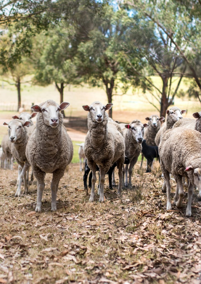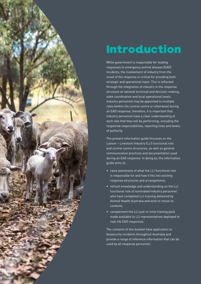

### Introduction

While government is responsible for leading responses to emergency animal disease (EAD) incidents, the involvement of industry from the onset of the response is critical for providing both strategic and operational input. This is reflected through the integration of industry in the response structure at national technical and decision-making, state coordination and local operational levels. Industry personnel may be appointed to multiple roles (within the control centre or otherwise) during an EAD response; therefore, it is important that industry personnel have a clear understanding of each role that they will be performing, including the respective responsibilities, reporting lines and levels of authority.

The present information guide focusses on the Liaison – Livestock Industry (LLI) functional role and control centre structures, as well as general communication practices and documentation used during an EAD response. In doing so, the information guide aims to:

- raise awareness of what the LLI functional role is responsible for and how it fits into existing response structures and arrangements.
- refresh knowledge and understanding on the LLI functional role of nominated industry personnel who have completed LLI training delivered by Animal Health Australia and wish to revise its contents.
- complement the LLI just-in-time training pack made available to LLI representatives deployed to real-life EAD responses.

The contents of this booklet have application to biosecurity incidents throughout Australia and provide a range of reference information that can be used by all response personnel.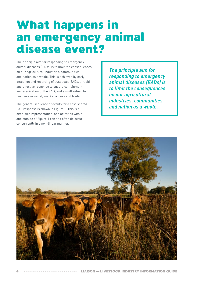### What happens in an emergency animal disease event?

The principle aim for responding to emergency animal diseases (EADs) is to limit the consequences on our agricultural industries, communities and nation as a whole. This is achieved by early detection and reporting of suspected EADs, a rapid and effective response to ensure containment and eradication of the EAD, and a swift return to business as usual, market access and trade.

The general sequence of events for a cost-shared EAD response is shown in Figure 1. This is a simplified representation, and activities within and outside of Figure 1 can and often do occur concurrently in a non-linear manner.

*The principle aim for responding to emergency animal diseases (EADs) is to limit the consequences on our agricultural industries, communities and nation as a whole.*

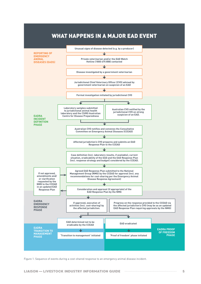#### WHAT HAPPENS IN A MAJOR EAD EVENT



Figure 1. Sequence of events during a cost-shared response to an emergency animal disease incident.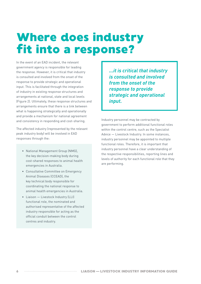### Where does industry fit into a response?

In the event of an EAD incident, the relevant government agency is responsible for leading the response. However, it is critical that industry is consulted and involved from the onset of the response to provide strategic and operational input. This is facilitated through the integration of industry in existing response structures and arrangements at national, state and local levels (Figure 2). Ultimately, these response structures and arrangements ensure that there is a link between what is happening strategically and operationally and provide a mechanism for national agreement and consistency in responding and cost-sharing.

The affected industry (represented by the relevant peak industry body) will be involved in EAD responses through the:

- National Management Group (NMG), the key decision-making body during cost-shared responses to animal health emergencies in Australia.
- Consultative Committee on Emergency Animal Diseases (CCEAD), the key technical body responsible for coordinating the national response to animal health emergencies in Australia.
- Liaison Livestock Industry (LLI) functional role, the nominated and authorised representative of the affected industry responsible for acting as the official conduit between the control centres and industry.

*...it is critical that industry is consulted and involved from the onset of the response to provide strategic and operational input.*

Industry personnel may be contracted by government to perform additional functional roles within the control centre, such as the Specialist Advice — Livestock Industry. In some instances, industry personnel may be appointed to multiple functional roles. Therefore, it is important that industry personnel have a clear understanding of the respective responsibilities, reporting lines and levels of authority for each functional role that they are performing.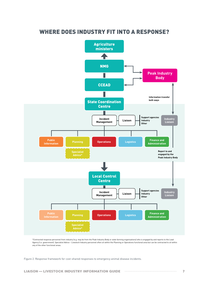#### WHERE DOES INDUSTRY FIT INTO A RESPONSE?



\*Contracted response personnel from industry (e.g. may be from the Peak Industry Body or state farming organisations) who is engaged by and reports to the Lead Agency (i.e. government). Specialist Advice – Livestock Industry personnel often sit within the Planning or Operations functional area but can be contracted to sit within any of the other functional areas.

Figure 2. Response framework for cost-shared responses to emergency animal disease incidents.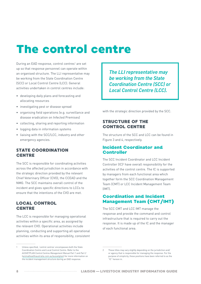## The control centre

During an EAD response, control centres<sup>1</sup> are set up so that response personnel can operate within an organised structure. The LLI representative may be working from the State Coordination Centre (SCC) or Local Control Centre (LCC). General activities undertaken in control centres include:

- developing daily plans and forecasting and allocating resources
- investigating pest or disease spread
- organising field operations (e.g. surveillance and disease eradication on Infected Premises)
- collecting, sharing and reporting information
- logging data in information systems
- liaising with the SCC/LCC, industry and other emergency agencies.

#### STATE COORDINATION **CENTRE**

The SCC is responsible for coordinating activities across the affected jurisdiction in accordance with the strategic direction provided by the relevant Chief Veterinary Officer (CVO), the CCEAD and the NMG. The SCC maintains overall control of the incident and gives specific directions to LCCs to ensure that the intentions of the CVO are met.

#### LOCAL CONTROL **CENTRE**

The LCC is responsible for managing operational activities within a specific area, as assigned by the relevant CVO. Operational activities include planning, conducting and supporting all operational activities within its area of responsibility, consistent *The LLI representative may be working from the State Coordination Centre (SCC) or Local Control Centre (LCC).*

with the strategic direction provided by the SCC.

#### STRUCTURE OF THE CONTROL CENTRE

The structure of the SCC and LCC can be found in Figure 3 and 4, respectively.

#### Incident Coordinator and Controller

The SCC Incident Coordinator and LCC Incident Controller (IC)<sup>2</sup> have overall responsibility for the activities of the control centre. The IC is supported by managers from each functional area which together form the SCC Coordination Management Team (CMT) or LCC Incident Management Team (IMT).

#### Coordination and Incident Management Team (CMT/IMT)

The SCC CMT and LCC IMT manage the response and provide the command and control infrastructure that is required to carry out the response. It is made up of the IC and the manager of each functional area.

<sup>1</sup> Unless specified, 'control centres' encompasses both the State Coordination Centre and Local Control Centre. Refer to the *[AUSVETPLAN Control Centres Management Manual](https://www.animalhealthaustralia.com.au/our-publications/ausvetplan-manuals-and-documents/) Part 1* and *Part 2* [\(animalhealthaustralia.com.au/ausvetplan](http://animalhealthaustralia.com.au/ausvetplan)) for more information on the incident management structure during an EAD response.

<sup>2</sup> These titles may vary slightly depending on the jurisdiction and/ or agency that is responsible for managing the response. For the purpose of simplicity, these positions have been referred to as the "IC" hereon in.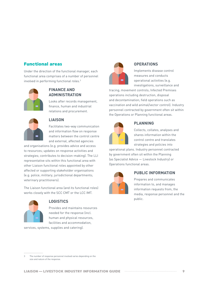#### Functional areas

Under the direction of the functional manager, each functional area comprises of a number of personnel involved in performing functional roles.3



#### **FINANCE AND ADMINISTRATION**

Looks after records management, finance, human and industrial relations and procurement.



#### **LIAISON**

Facilitates two-way communication and information flow on response matters between the control centre and external, affected agencies

and organisations (e.g. provides advice and access to resources; updates on response activities and strategies; contributes to decision-making). The LLI representative sits within this functional area with other Liaison functional roles appointed by other affected or supporting stakeholder organisations (e.g. police; military; jurisdictional departments; veterinary practitioners).

The Liaison functional area (and its functional roles) works closely with the SCC CMT or the LCC IMT.



#### **LOGISTICS**

Provides and maintains resources needed for the response (incl. human and physical resources, facilities and accommodation,

services, systems, supplies and catering).



#### **OPERATIONS**

Implements disease control measures and conducts operational activities (e.g. investigations, surveillance and

tracing; movement controls; Infected Premises operations including destruction, disposal and decontamination; field operations such as vaccination and wild animal/vector control). Industry personnel contracted by government often sit within the Operations or Planning functional areas.



#### **PLANNING**

Collects, collates, analyses and shares information within the control centre and translates strategies and policies into

operational plans. Industry personnel contracted by government often sit within the Planning (as Specialist Advice — Livestock Industry) or Operations functional areas.



#### **PUBLIC INFORMATION**

Prepares and communicates information to, and manages information requests from, the media, response personnel and the public.

<sup>3</sup> The number of response personnel involved varies depending on the size and nature of the response.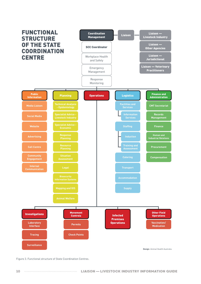

Figure 3. Functional structure of State Coordination Centres.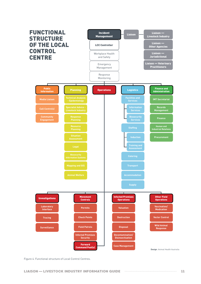

Figure 4. Functional structure of Local Control Centres.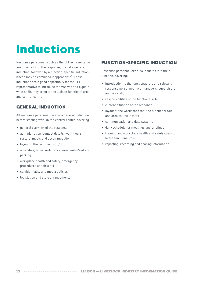## Inductions

Response personnel, such as the LLI representative, are inducted into the response; first at a general induction, followed by a function-specific induction (these may be combined if appropriate). These inductions are a good opportunity for the LLI representative to introduce themselves and explain what skills they bring to the Liaison functional area and control centre.

#### GENERAL INDUCTION

All response personnel receive a general induction before starting work in the control centre, covering:

- general overview of the response
- administration (contact details, work hours, rosters, meals and accommodation)
- layout of the facilities (SCC/LCC)
- amenities, biosecurity procedures, entry/exit and parking
- workplace health and safety, emergency procedures and first aid
- confidentiality and media policies
- legislation and state arrangements.

#### FUNCTION-SPECIFIC INDUCTION

Response personnel are also inducted into their function, covering:

- introduction to the functional role and relevant response personnel (incl. managers, supervisors and key staff)
- responsibilities of the functional role
- current situation of the response
- layout of the workspace that the functional role and area will be located
- communication and data systems
- daily schedule for meetings and briefings
- training and workplace health and safety specific to the functional role
- reporting, recording and sharing information.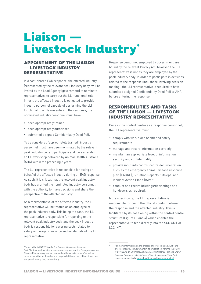## Liaison — Livestock Industry\*

#### APPOINTMENT OF THE LIAISON — LIVESTOCK INDUSTRY REPRESENTATIVE

In a cost-shared EAD response, the affected industry (represented by the relevant peak industry body) will be invited by the Lead Agency (government) to nominate representatives to carry out the LLI functional role. In turn, the affected industry is obligated to provide industry personnel capable of performing the LLI functional role. Before entering the response, the nominated industry personnel must have:

- been appropriately trained
- been appropriately authorised
- submitted a signed Confidentiality Deed Poll.

To be considered 'appropriately trained', industry personnel must have been nominated by the relevant peak industry body to participate and have attended an LLI workshop delivered by Animal Health Australia (AHA) within the preceding 5 years.

The LLI representative is responsible for acting on behalf of the affected industry during an EAD response. As such, it is critical that the relevant peak industry body has granted the nominated industry personnel with the authority to make decisions and share the perspective of the affected industry.

As a representative of the affected industry, the LLI representative will be treated as an employee of the peak industry body. This being the case, the LLI representative is responsible for reporting to the relevant peak industry body, and the peak industry body is responsible for covering costs related to salary and wage, insurance and incidentals of the LLI representative.

Response personnel employed by government are bound by the relevant Privacy Act; however, the LLI representative is not as they are employed by the peak industry body. In order to participate in activities related to the response (incl. those involving decisionmaking), the LLI representative is required to have submitted a signed Confidentiality Deed Poll to AHA before entering the response.

#### RESPONSIBILITIES AND TASKS OF THE LIAISON — LIVESTOCK INDUSTRY REPRESENTATIVE

Once in the control centre as a response personnel, the LLI representative must:

- comply with workplace health and safety requirements
- manage and record information correctly
- maintain an appropriate level of information security and confidentiality
- provide input into control centre documentation such as the emergency animal disease response plan (EADRP), Situation Reports (SitReps) and Incident Action Plans (IAPs)4
- conduct and record briefings/debriefings and handovers as required.

More specifically, the LLI representative is responsible for being the official conduit between the response and the affected industry. This is facilitated by its positioning within the control centre structure (Figures 3 and 4) which enables the LLI representative to feed directly into the SCC CMT or LCC IMT.

<sup>\*</sup>Refer to the *[AUSVETPLAN Control Centres Management Manuals](https://www.animalhealthaustralia.com.au/our-publications/ausvetplan-manuals-and-documents/)  Part 2* [\(animalhealthaustralia.com.au/ausvetplan](http://animalhealthaustralia.com.au/ausvetplan)) and the [Emergency Animal](https://www.animalhealthaustralia.com.au/what-we-do/emergency-animal-disease/ead-response-agreement/)  [Disease Response Agreement](https://www.animalhealthaustralia.com.au/what-we-do/emergency-animal-disease/ead-response-agreement/) [\(animalhealthaustralia.com.au/eadra](http://animalhealthaustralia.com.au/eadra)) for more information on the roles and responsibilities of the LLI functional role and peak industry body, respectively.

<sup>4</sup> For more information on the process of developing an EADRP and affected industry's involvement in its preparation, refer to the *Guide to Developing an Emergency Animal Disease Response Plan* and *EADRA Guidance Document – Appointment of industry personnel in an EAD response,* respectively [\(animalhealthaustralia.com.au/eadra](http://animalhealthaustralia.com.au/eadra)).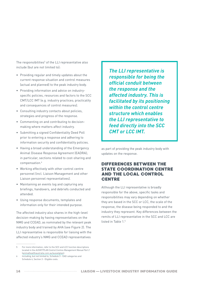The responsibilities<sup>5</sup> of the LLI representative also include (but are not limited to):

- Providing regular and timely updates about the current response situation and control measures (actual and planned) to the peak industry body.
- Providing information and advice on industryspecific policies, resources and factors to the SCC CMT/LCC IMT (e.g. industry practices; practicality and consequences of control measures).
- Consulting industry contacts about policies, strategies and progress of the response.
- Commenting on and contributing to decisionmaking where matters affect industry.
- Submitting a signed Confidentiality Deed Poll prior to entering a response and adhering to information security and confidentiality policies.
- Having a broad understanding of the Emergency Animal Disease Response Agreement (EADRA); in particular, sections related to cost-sharing and compensation.<sup>6</sup>
- Working effectively with other control centre personnel (incl. Liaison Management and other Liaison personnel representatives).
- Maintaining an events log and capturing any briefings, handovers, and debriefs conducted and attended.
- Using response documents, templates and information only for their intended purpose.

The affected industry also shares in the high-level decision-making by having representatives on the NMG and CCEAD, as nominated by the relevant peak industry body and trained by AHA (see Figure 2). The LLI representative is responsible for liaising with the affected industry's NMG and CCEAD representatives

*The LLI representative is responsible for being the*  **official conduit between**  *the response and the affected industry. This is facilitated by its positioning within the control centre structure which enables the LLI representative to feed directly into the SCC CMT or LCC IMT.*

as part of providing the peak industry body with updates on the response.

#### DIFFERENCES BETWEEN THE STATE COORDINATION CENTRE AND THE LOCAL CONTROL **CENTRE**

Although the LLI representative is broadly responsible for the above, specific tasks and responsibilities may vary depending on whether they are based in the SCC or LCC, the scale of the response, the disease being responded to and the industry they represent. Key differences between the remits of LLI representative in the SCC and LCC are listed in Table 1.5

<sup>5</sup> For more information, refer to the SCC and LCC function descriptions located in the *AUSVETPLAN Control Centres Management Manual Part 2* [\(animalhealthaustralia.com.au/ausvetplan](http://animalhealthaustralia.com.au/ausvetplan)).

Including, but not limited to, Schedule 3 - EAD categories and Schedule 6, Section 3 - Eligible costs.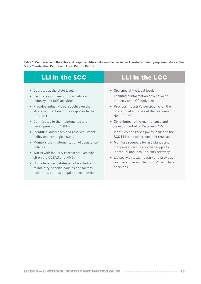**Table 1. Comparison of the roles and responsibilities between the Liaison — Livestock Industry representative in the State Coordination Centre and Local Control Centre.**

| <b>LLI in the SCC</b>                        | <b>LLI in the LCC</b>                        |
|----------------------------------------------|----------------------------------------------|
| • Operates at the state level.               | • Operates at the local level.               |
| Facilitates information flow between         | • Facilitates information flow between       |
| industry and SCC activities.                 | industry and LCC activities.                 |
| • Provides industry's perspective on the     | • Provides industry's perspective on the     |
| strategic direction of the response to the   | operational activities of the response to    |
| <b>SCC CMT.</b>                              | the LCC IMT.                                 |
| • Contributes to the maintenance and         | • Contributes to the maintenance and         |
| development of EADRPs.                       | development of SitReps and IAPs.             |
| · Identifies, addresses and resolves urgent  | · Identifies and raises policy issues to the |
| policy and strategic issues.                 | SCC I I I to be addressed and resolved.      |
| Monitors the implementation of assistance    | Monitors requests for assistance and         |
| policies.                                    | $\bullet$                                    |
| • Works with industry representatives who    | compensation in a way that supports          |
| sit on the CCFAD and NMG.                    | individual and local industry recovery.      |
| · Holds balanced, state-wide knowledge       | • Liaises with local industry and provides   |
| of industry-specific policies and factors    | feedback to assist the LCC IMT with local    |
| (scientific, political, legal and economic). | decisions.                                   |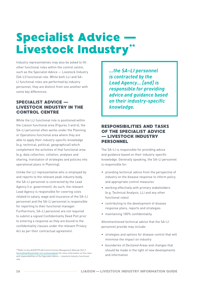### Specialist Advice — Livestock Industry\*\*

Industry representatives may also be asked to fill other functional roles within the control centre, such as the Specialist Advice — Livestock Industry (SA–LI) functional role. While both LLI and SA– LI functional roles are performed by industry personnel, they are distinct from one another with some key differences.

#### SPECIALIST ADVICE — LIVESTOCK INDUSTRY IN THE CONTROL CENTRE

While the LLI functional role is positioned within the Liaison functional area (Figures 3 and 4), the SA–LI personnel often works under the Planning or Operations functional area where they are able to apply their industry-specific knowledge (e.g. technical, political, geographical) which complement the activities of that functional area (e.g. data collection, collation, analyses and sharing, translation of strategies and policies into operational plans in Planning).

Unlike the LLI representative who is employed by and reports to the relevant peak industry body, the SA–LI personnel is contracted by the Lead Agency (i.e. government). As such, the relevant Lead Agency is responsible for covering costs related to salary, wage and insurance of the SA–LI personnel and the SA–LI personnel is responsible for reporting to their functional manager. Furthermore, SA–LI personnel are not required to submit a signed Confidentiality Deed Poll prior to entering a response as they are bound to the confidentiality clauses under the relevant Privacy Act as per their contractual agreement.

*...the SA–LI personnel is contracted by the Lead Agency... [and] is responsible for providing advice and guidance based*  **on their industry-specific**  *knowledge.*

#### RESPONSIBILITIES AND TASKS OF THE SPECIALIST ADVICE — LIVESTOCK INDUSTRY **PERSONNEL**

The SA–LI is responsible for providing advice and guidance based on their industry-specific knowledge. Generally speaking, the SA–LI personnel is responsible for:

- providing technical advice from the perspective of industry on the disease response to inform policy and appropriate control measures
- working effectively with primary stakeholders (e.g. Technical Analysis, LLI and any other functional roles)
- contributing to the development of disease response plans, reports and strategies
- maintaining 100% confidentiality.

Aforementioned technical advice that the SA–LI personnel provide may include:

- strategies and options for disease control that will minimise the impact on industry
- boundaries of Declared Areas and changes that should be made in the light of new developments and information

<sup>\*\*</sup>Refer to the *AUSVETPLAN Control Centres Management Manuals Part 2* [\(animalhealthaustralia.com.au/ausvetplan](http://animalhealthaustralia.com.au/ausvetplan)) for more information on the roles and responsibilities of the Specialist Advice – Livestock Industry functional role.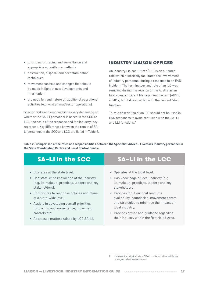- priorities for tracing and surveillance and appropriate surveillance methods
- destruction, disposal and decontamination techniques
- movement controls and changes that should be made in light of new developments and information
- the need for, and nature of, additional operational activities (e.g. wild animal/vector operations).

Specific tasks and responsibilities vary depending on whether the SA–LI personnel is based in the SCC or LCC, the scale of the response and the industry they represent. Key differences between the remits of SA– LI personnel in the SCC and LCC are listed in Table 2.

#### INDUSTRY LIAISON OFFICER

An Industry Liaison Officer (ILO) is an outdated role which historically facilitated the involvement of industry personnel during a response to an EAD incident. The terminology and role of an ILO was removed during the revision of the Australasian Interagency Incident Management System (AIIMS) in 2017, but it does overlap with the current SA–LI function.

Th role description of an ILO should not be used in EAD responses to avoid confusion with the SA–LI and LLI functions.7

**Table 2 . Comparison of the roles and responsibilities between the Specialist Advice – Livestock Industry personnel in the State Coordination Centre and Local Control Centre.**

| <b>SA-LI in the SCC</b>                      | <b>SA-LI in the LCC</b>                    |
|----------------------------------------------|--------------------------------------------|
| • Operates at the state level.               | • Operates at the local level.             |
| • Has state-wide knowledge of the industry   | • Has knowledge of local industry (e.g.    |
| (e.g. its makeup, practices, leaders and key | its makeup, practices, leaders and key     |
| stakeholders).                               | stakeholders).                             |
| • Contributes to response policies and plans | • Provides input on local resource         |
| at a state-wide level.                       | availability, boundaries, movement control |
| • Assists in developing overall priorities   | and strategies to minimise the impact on   |
| for tracing and surveillance, movement       | local industry.                            |
| controls etc.                                | • Provides advice and guidance regarding   |
| • Addresses matters raised by LCC SA-LI.     | their industry within the Restricted Area. |

<sup>7</sup> However, the Industry Liaison Officer continues to be used during emergency plant pest responses.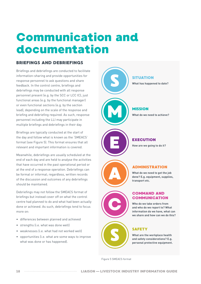## Communication and documentation

#### BRIEFINGS AND DEBRIEFINGS

Briefings and debriefings are conducted to facilitate information-sharing and provide opportunities for response personnel to ask questions and share feedback. In the control centre, briefings and debriefings may be conducted with all response personnel present (e.g. by the SCC or LCC IC), just functional areas (e.g. by the functional manager) or even functional sections (e.g. by the section lead), depending on the scale of the response and briefing and debriefing required. As such, response personnel including the LLI may participate in multiple briefings and debriefings in their day.

Briefings are typically conducted at the start of the day and follow what is known as the 'SMEACS' format (see Figure 5). This format ensures that all relevant and important information is covered.

Meanwhile, debriefings are usually scheduled at the end of each day and are held to analyse the activities that have occurred in the past operational period or at the end of a response operation. Debriefings can be formal or informal; regardless, written records of the discussion and outcomes of any debriefings should be maintained.

Debriefings may not follow the SMEACS format of briefings but instead cover off on what the control centre had planned to do and what had been actually done or achieved. As such, debriefings tend to focus more on:

- differences between planned and achieved
- strengths (i.e. what was done well)
- weaknesses (i.e. what had not worked well)
- opportunities (i.e. what are some ways to improve what was done or has happened).



Figure 5 SMEACS format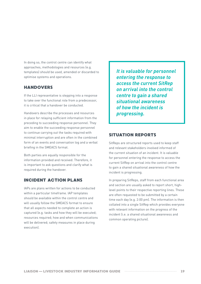In doing so, the control centre can identify what approaches, methodologies and resources (e.g. templates) should be used, amended or discarded to optimise systems and operations.

#### HANDOVERS

If the LLI representative is stepping into a response to take over the functional role from a predecessor, it is critical that a handover be conducted.

Handovers describe the processes and resources in place for relaying sufficient information from the preceding to succeeding response personnel. They aim to enable the succeeding response personnel to continue carrying out the tasks required with minimal interruption and are often in the combined form of an events and conversation log and a verbal briefing in the SMEACS format.

Both parties are equally responsible for the information provided and received. Therefore, it is important to ask questions and clarify what is required during the handover.

#### INCIDENT ACTION PLANS

IAPs are plans written for actions to be conducted within a particular timeframe. IAP templates should be available within the control centre and will usually follow the SMEACS format to ensure that all aspects needed to complete an action is captured (e.g. tasks and how they will be executed; resources required; how and when communications will be delivered; safety measures in place during execution).

*It is valuable for personnel entering the response to access the current SitRep on arrival into the control centre to gain a shared situational awareness of how the incident is progressing.*

#### SITUATION REPORTS

SitReps are structured reports used to keep staff and relevant stakeholders involved informed of the current situation of an incident. It is valuable for personnel entering the response to access the current SitRep on arrival into the control centre to gain a shared situational awareness of how the incident is progressing.

In preparing SitReps, staff from each functional area and section are usually asked to report short, highlevel points to their respective reporting lines. These are often requested to be submitted by a certain time each day (e.g. 2:00 pm). The information is then collated into a single SitRep which provides everyone with relevant information on the progress of the incident (i.e. a shared situational awareness and common operating picture).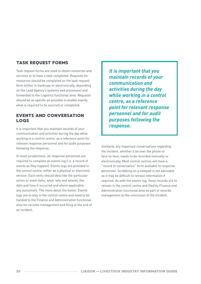#### TASK REQUEST FORMS

Task request forms are used to obtain resources and services or to have a task completed. Requests for resources should be completed on the task request form (either in hardcopy or electronically, depending on the Lead Agency's systems and processes) and forwarded to the Logistics functional area. Requests should be as specific as possible to enable exactly what is required to be sourced or completed.

#### EVENTS AND CONVERSATION LOGS

It is important that you maintain records of your communication and activities during the day while working in a control centre, as a reference point for relevant response personnel and for audit purposes following the response.

In most jurisdictions, all response personnel are required to complete an events log (i.e. a record of events as they happen). Events logs are provided in the control centre, either as a physical or electronic version. Each entry should describe the particular action or event (who, what, why and where), the date and time it occurred and where applicable, any outcome/s. The more detail the better. Events logs are to stay in the control centre and need to be handed to the Finance and Administration functional area for records management and filing at the end of an incident.

*It is important that you maintain records of your communication and activities during the day while working in a control centre, as a reference point for relevant response personnel and for audit purposes following the response.* 

Similarly, any important conversations regarding the incident, whether it be over the phone or face-to-face, needs to be recorded manually or electronically. Most control centres will have a "record of conversation" form available to response personnel. Scribbling on a notepad is not advisable as it may be difficult to retrace information if required. As with the events log, these records are to remain in the control centre and filed by Finance and Administration functional area as part of records management at the conclusion of the incident.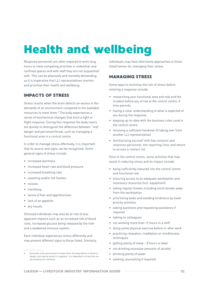## Health and wellbeing

Response personnel are often required to work long hours to meet competing priorities in unfamiliar and confined spaces and with staff they are not acquainted with. This can be physically and mentally demanding, so it is imperative that LLI representatives monitor and prioritise their health and wellbeing.

#### IMPACTS OF STRESS

Stress results when the brain detects an excess in the demands of an environment compared to the available resources to meet them.<sup>8</sup> The body experiences a series of biochemical changes that elicit a fight or flight response. During this response the body reacts too quickly to distinguish the difference between "real" danger and perceived threat, such as managing a functional area in a control centre.

In order to manage stress effectively, it is important that its source and signs can be recognised. Some general signs of stress include:

- increased alertness
- increased heart rate and blood pressure
- increased breathing rate
- sweating and/or hot flushes
- nausea
- trembling
- sense of fear and apprehension
- lack of an appetite
- dry mouth.

Stressed individuals may also be at risk of less apparent impacts such as an increased risk of blood clots, increased glucose being released by the liver and a weakened immune system.

Each individual experiences stress differently and may present different signs to those listed. Similarly, individuals may have alternative approaches to those listed hereon for managing their stress.

#### MANAGING STRESS

Some ways to minimise the risk of stress before entering a response include:

- researching your functional area and role and the incident before you arrive at the control centre, if time permits
- having a clear understanding of what is expected of you during the response
- keeping up-to-date with the business rules used in the control centre
- receiving a sufficient handover (if taking over from another LLI representative)
- familiarising yourself with key contacts and response personnel, the reporting lines and where to access a contact list.

Once in the control centre, some activities that may assist in reducing stress and its impact include:

- being sufficiently inducted into the control centre and functional role
- ensuring access to an adequate workstation and necessary resources (incl. equipment)
- taking regular breaks including lunch breaks away from the workstation
- prioritising tasks and avoiding hindrance by lower priority activities
- asking questions and requesting assistance if required
- talking to colleagues
- not working more than 12 hours in a shift
- doing some physical exercise before or after work
- practicing relaxation, meditation or mindfulness techniques
- getting plenty of sleep 8 hours is ideal
- not drinking excessive amounts of alcohol
- drinking plenty of water
- seeking counselling if required.

<sup>8</sup> Demands of the environment include when the body detects a threat or danger and may be actual or imagined - it is dependent on how they are perceived by the individual.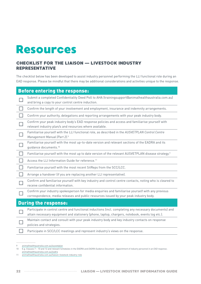### Resources

#### CHECKLIST FOR THE LIAISON — LIVESTOCK INDUSTRY REPRESENTATIVE

The checklist below has been developed to assist industry personnel performing the LLI functional role during an EAD response. Please be mindful that there may be additional considerations and activities unique to the response.

| <b>Before entering the response:</b>                                                                                                                                                                      |
|-----------------------------------------------------------------------------------------------------------------------------------------------------------------------------------------------------------|
| Submit a completed Confidentiality Deed Poll to AHA (trainingsupport@animalhealthaustralia.com.au)<br>and bring a copy to your control centre induction.                                                  |
| Confirm the length of your involvement and employment, insurance and indemnity arrangements.                                                                                                              |
| Confirm your authority, delegations and reporting arrangements with your peak industry body.                                                                                                              |
| Confirm your peak industry body's EAD response policies and access and familiarise yourself with<br>relevant industry plan/s and resources where available.                                               |
| Familiarise yourself with the LLI functional role, as described in the AUSVETPLAN Control Centre<br>Management Manual (Part 2).9                                                                          |
| Familiarise yourself with the most up-to-date version and relevant sections of the EADRA and its<br>quidance documents. <sup>10</sup>                                                                     |
| Familiarise yourself with the most up to date version of the relevant AUSVETPLAN disease strategy.9                                                                                                       |
| Access the LLI Information Guide for reference. <sup>11</sup>                                                                                                                                             |
| Familiarise yourself with the most recent SitReps from the SCC/LCC.                                                                                                                                       |
| Arrange a handover (if you are replacing another LLI representative).                                                                                                                                     |
| Confirm and familiarise yourself with key industry and control centre contacts, noting who is cleared to<br>receive confidential information.                                                             |
| Confirm your industry spokesperson for media enquiries and familiarise yourself with any previous<br>correspondence, media releases and public resources issued by your peak industry body.               |
| <b>During the response:</b>                                                                                                                                                                               |
| Participate in control centre and functional inductions (incl. completing any necessary documents) and<br>attain necessary equipment and stationery (phone, laptop, chargers, notebook, events log etc.). |
| Maintain contact and consult with your peak industry body and key industry contacts on response<br>policies and strategies.                                                                               |
| Participate in SCC/LCC meetings and represent industry's views on the response.                                                                                                                           |

<sup>9</sup> [animalhealthaustralia.com.au/ausvetplan](http://animalhealthaustralia.com.au/ausvetplan)

<sup>10</sup> E.g. Clauses 7 – 10 and 12 and relevant Schedules in the EADRA and *EADRA Guidance Document - Appointment of industry personnel in an EAD response*; [animalhealthaustralia.com.au/eadra](http://animalhealthaustralia.com.au/eadra)

<sup>11</sup> [animalhealthaustralia.com.au/liaison-livestock-industry-role](http://animalhealthaustralia.com.au/liaison-livestock-industry-role)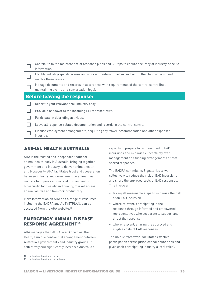| Contribute to the maintenance of response plans and SitReps to ensure accuracy of industry-specific<br>information.                     |
|-----------------------------------------------------------------------------------------------------------------------------------------|
| Identify industry-specific issues and work with relevant parties and within the chain of command to<br>resolve these issues.            |
| Manage documents and records in accordance with requirements of the control centre (incl.<br>maintaining events and conversation logs). |
| <b>Before leaving the response:</b>                                                                                                     |
|                                                                                                                                         |
| Report to your relevant peak industry body.                                                                                             |
| Provide a handover to the incoming LLI representative.                                                                                  |
| Participate in debriefing activities.                                                                                                   |
| Leave all response-related documentation and records in the control centre.                                                             |

#### ANIMAL HEALTH AUSTRALIA

AHA is the trusted and independent national animal health body in Australia, bringing together government and industry to deliver animal health and biosecurity. AHA facilitates trust and cooperation between industry and government on animal health matters to improve animal and human health, biosecurity, food safety and quality, market access, animal welfare and livestock productivity.

More information on AHA and a range of resources, including the EADRA and AUSVETPLAN, can be accessed from the AHA website.12

#### EMERGENCY ANIMAL DISEASE RESPONSE AGREEMENT13

AHA manages the EADRA, also known as 'the Deed', a unique contractual arrangement between Australia's governments and industry groups. It collectively and significantly increases Australia's

capacity to prepare for and respond to EAD incursions and minimises uncertainty over management and funding arrangements of costshared responses.

The EADRA commits its Signatories to work collectively to reduce the risk of EAD incursions and share the approved costs of EAD responses. This involves:

- taking all reasonable steps to minimise the risk of an EAD incursion
- where relevant, participating in the response through informed and empowered representatives who cooperate to support and direct the response
- where relevant, sharing the approved and eligible costs of EAD responses.

The unique framework facilitates effective participation across jurisdictional boundaries and gives each participating industry a 'real voice'.

<sup>12</sup> [animalhealthaustralia.com.au](http://www.animalhealthaustralia.com.au)

<sup>13</sup> [animalhealthaustralia.com.au/eadra](http://animalhealthaustralia.com.au/eadra)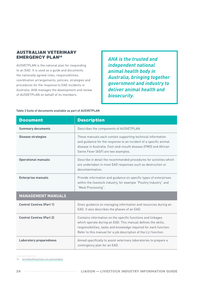#### AUSTRALIAN VETERINARY EMERGENCY PLAN14

AUSVETPLAN is the national plan for responding to an EAD. It is used as a guide and documents the nationally agreed roles, responsibilities, coordination arrangements, policies, strategies and procedures for the response to EAD incidents in Australia. AHA manages the development and review of AUSVETPLAN on behalf of its members.

*AHA is the trusted and independent national animal health body in Australia, bringing together government and industry to deliver animal health and biosecurity.* 

| <b>Document</b>                 | <b>Description</b>                                                                                                                                                                                                                                                  |
|---------------------------------|---------------------------------------------------------------------------------------------------------------------------------------------------------------------------------------------------------------------------------------------------------------------|
| <b>Summary documents</b>        | Describes the components of AUSVETPLAN.                                                                                                                                                                                                                             |
| <b>Disease strategies</b>       | These manuals each contain supporting technical information<br>and guidance for the response to an incident of a specific animal<br>disease in Australia. Foot-and-mouth disease (FMD) and African<br>Swine Fever (ASF) are two examples.                           |
| <b>Operational manuals</b>      | Describe in detail the recommended procedures for activities which<br>are undertaken in most EAD responses such as destruction or<br>decontamination.                                                                                                               |
| <b>Enterprise manuals</b>       | Provide information and guidance on specific types of enterprises<br>within the livestock industry, for example "Poultry Industry" and<br>"Meat Processing".                                                                                                        |
| <b>MANAGEMENT MANUALS</b>       |                                                                                                                                                                                                                                                                     |
| <b>Control Centres (Part 1)</b> | Gives guidance on managing information and resources during an<br>EAD. It also describes the phases of an EAD.                                                                                                                                                      |
| <b>Control Centres (Part 2)</b> | Contains information on the specific functions and linkages<br>which operate during an EAD. This manual defines the skills,<br>responsibilities, tasks and knowledge required for each function.<br>Refer to this manual for a job description of the LLI function. |
| <b>Laboratory preparedness</b>  | Aimed specifically to assist veterinary laboratories to prepare a<br>contingency plan for an EAD.                                                                                                                                                                   |

#### **Table 3 Suite of documents available as part of AUSVETPLAN**

<sup>14</sup> [animalhealthaustralia.com.au/ausvetplan](http://animalhealthaustralia.com.au/ausvetplan)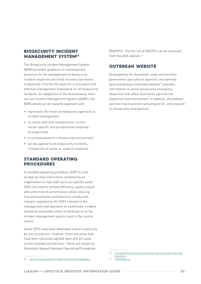#### BIOSECURITY INCIDENT MANAGEMENT SYSTEM15

The Biosecurity Incident Management System (BIMS) provides guidance on contemporary practices for the management of biosecurity incident response and initial recovery operations in Australia. It forms the basis for a consistent and effective management framework for all biosecurity incidents. An adaptation of the Australiasian Interservice Incident Management System (AIIMS), the BIMS adopts an all-hazards approach and:

- represents the most contemporary approach to incident management
- co-exists with and complements current, sector-specific and jurisdictional response arrangements
- is contextualised to a biosecurity environment
- can be applied to all biosecurity incidents, irrespective of sector or scale of response.

#### STANDARD OPERATING PROCEDURES

A standard operating procedure (SOP) is a set of step-by-step instructions compiled by an organisation to help staff carry out specific tasks. SOPs are used to achieve efficiency, quality output and uniformity of performance, while reducing miscommunication and failure to comply with industry regulations. All SOPs relevant to the management and operation of a particular incident should be accessible either in hardcopy or on the incident management system used in the control centre.

Some SOPs have been developed and are used only by one jurisdiction; however, there are some that have been nationally agreed upon and are used across multiple jurisdictions. These are known as Nationally Agreed Standard Operating Procedures

(NASOPs). The full list of NASOPs can be accessed from the AHA website.<sup>16</sup>

#### OUTBREAK WEBSITE

Developed by the Australian, state and territory government agricultural agencies, the national pest and disease outbreaks website17 provides information on active biosecurity emergency responses that affect Australia's agricultural industries and environment. In addition, the website outlines how to prevent and prepare for, and respond to, biosecurity emergencies.

[procedures](http://animalhealthaustralia.com.au/nationally-agreed-standard-operating-procedures) 17 [outbreak.gov.au](http://outbreak.gov.au)

<sup>16</sup> [animalhealthaustralia.com.au/nationally-agreed-standard-operating-](http://animalhealthaustralia.com.au/nationally-agreed-standard-operating-procedures)

<sup>15</sup> [agriculture.gov.au/biosecurity/partnerships/nbc/nbepeg/bims](https://www.agriculture.gov.au/biosecurity/partnerships/nbc/nbepeg/bims)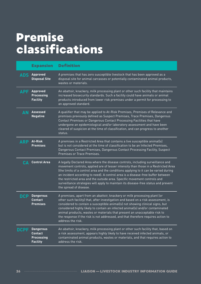## Premise classifications

|             | <b>Expansion</b>                                                           | <b>Definition</b>                                                                                                                                                                                                                                                                                                                                                                                                                                                                                                                           |
|-------------|----------------------------------------------------------------------------|---------------------------------------------------------------------------------------------------------------------------------------------------------------------------------------------------------------------------------------------------------------------------------------------------------------------------------------------------------------------------------------------------------------------------------------------------------------------------------------------------------------------------------------------|
| <b>ADS</b>  | Approved<br><b>Disposal Site</b>                                           | A premises that has zero susceptible livestock that has been approved as a<br>disposal site for animal carcasses or potentially contaminated animal products,<br>wastes or materials.                                                                                                                                                                                                                                                                                                                                                       |
| <b>APF</b>  | Approved<br>Processing<br><b>Facility</b>                                  | An abattoir, knackery, milk processing plant or other such facility that maintains<br>increased biosecurity standards. Such a facility could have animals or animal<br>products introduced from lower risk premises under a permit for processing to<br>an approved standard.                                                                                                                                                                                                                                                               |
| <b>AN</b>   | <b>Assessed</b><br><b>Negative</b>                                         | A qualifier that may be applied to At-Risk Premises, Premises of Relevance and<br>premises previously defined as Suspect Premises, Trace Premises, Dangerous<br>Contact Premises or Dangerous Contact Processing Facilities that have<br>undergone an epidemiological and/or laboratory assessment and have been<br>cleared of suspicion at the time of classification, and can progress to another<br>status.                                                                                                                              |
| <b>ARP</b>  | <b>At-Risk</b><br><b>Premises</b>                                          | A premises in a Restricted Area that contains a live susceptible animal(s)<br>but is not considered at the time of classification to be an Infected Premises,<br>Dangerous Contact Premises, Dangerous Contact Processing Facility, Suspect<br>Premises or Trace Premises.                                                                                                                                                                                                                                                                  |
| CA          | <b>Control Area</b>                                                        | A legally Declared Area where the disease controls, including surveillance and<br>movement controls, applied are of lesser intensity than those in a Restricted Area<br>(the limits of a control area and the conditions applying to it can be varied during<br>an incident according to need). A control area is a disease-free buffer between<br>the restricted area and the outside area. Specific movement controls and<br>surveillance strategies will apply to maintain its disease-free status and prevent<br>the spread of disease. |
| <b>DCP</b>  | <b>Dangerous</b><br><b>Contact</b><br><b>Premises</b>                      | A premises, apart from an abattoir, knackery or milk processing plant (or<br>other such facility) that, after investigation and based on a risk assessment, is<br>considered to contain a susceptible animal(s) not showing clinical signs, but<br>considered highly likely to contain an infected animal(s) and/or contaminated<br>animal products, wastes or materials that present an unacceptable risk to<br>the response if the risk is not addressed, and that therefore requires action to<br>address the risk.                      |
| <b>DCPF</b> | <b>Dangerous</b><br><b>Contact</b><br><b>Processing</b><br><b>Facility</b> | An abattoir, knackery, milk processing plant or other such facility that, based on<br>a risk assessment, appears highly likely to have received infected animals, or<br>contaminated animal products, wastes or materials, and that requires action to<br>address the risk.                                                                                                                                                                                                                                                                 |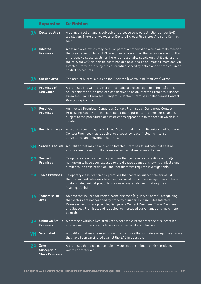|            | <b>Expansion</b>                                    | <b>Definition</b>                                                                                                                                                                                                                                                                                                                                                                                                                                           |
|------------|-----------------------------------------------------|-------------------------------------------------------------------------------------------------------------------------------------------------------------------------------------------------------------------------------------------------------------------------------------------------------------------------------------------------------------------------------------------------------------------------------------------------------------|
| <b>DA</b>  | <b>Declared Area</b>                                | A defined tract of land is subjected to disease control restrictions under EAD<br>legislation. There are two types of Declared Areas: Restricted Area and Control<br>Area.                                                                                                                                                                                                                                                                                  |
| <b>IP</b>  | Infected<br><b>Premises</b>                         | A defined area (which may be all or part of a property) on which animals meeting<br>the case definition for an EAD are or were present; or the causative agent of that<br>emergency disease exists, or there is a reasonable suspicion that it exists; and<br>the relevant CVO or their delegate has declared it to be an Infected Premises. An<br>Infected Premises is subject to quarantine served by notice and to eradication or<br>control procedures. |
| <b>OA</b>  | <b>Outside Area</b>                                 | The area of Australia outside the Declared (Control and Restricted) Areas.                                                                                                                                                                                                                                                                                                                                                                                  |
| <b>POR</b> | <b>Premises of</b><br><b>Relevance</b>              | A premises in a Control Area that contains a live susceptible animal(s) but is<br>not considered at the time of classification to be an Infected Premises, Suspect<br>Premises, Trace Premises, Dangerous Contact Premises or Dangerous Contact<br>Processing Facility.                                                                                                                                                                                     |
| <b>RP</b>  | <b>Resolved</b><br><b>Premises</b>                  | An Infected Premises, Dangerous Contact Premises or Dangerous Contact<br>Processing Facility that has completed the required control measures, and is<br>subject to the procedures and restrictions appropriate to the area in which it is<br>located.                                                                                                                                                                                                      |
| <b>RA</b>  | <b>Restricted Area</b>                              | A relatively small legally Declared Area around Infected Premises and Dangerous<br>Contact Premises that is subject to disease controls, including intense<br>surveillance and movement controls.                                                                                                                                                                                                                                                           |
| <b>SN</b>  |                                                     | <b>Sentinels on site</b> A qualifier that may be applied to Infected Premises to indicate that sentinel<br>animals are present on the premises as part of response activities.                                                                                                                                                                                                                                                                              |
| <b>SP</b>  | <b>Suspect</b><br><b>Premises</b>                   | Temporary classification of a premises that contains a susceptible animal(s)<br>not known to have been exposed to the disease agent but showing clinical signs<br>similar to the case definition, and that therefore requires investigation(s).                                                                                                                                                                                                             |
| ΤP         | <b>Trace Premises</b>                               | Temporary classification of a premises that contains susceptible animal(s)<br>that tracing indicates may have been exposed to the disease agent, or contains<br>contaminated animal products, wastes or materials, and that requires<br>investigation(s).                                                                                                                                                                                                   |
| <b>TA</b>  | <b>Transmission</b><br>Area                         | An area that is used for vector-borne diseases (e.g. insect-borne), recognising<br>that vectors are not confined by property boundaries. It includes Infected<br>Premises, and where possible, Dangerous Contact Premises, Trace Premises<br>and Suspect Premises, and is subject to increased surveillance and movement<br>controls.                                                                                                                       |
| <b>UP</b>  | <b>Unknown Status</b><br><b>Premises</b>            | A premises within a Declared Area where the current presence of susceptible<br>animals and/or risk products, wastes or materials is unknown.                                                                                                                                                                                                                                                                                                                |
| <b>VN</b>  | Vaccinated                                          | A qualifier that may be used to identify premises that contain susceptible animals<br>that have been vaccinated against the EAD in question.                                                                                                                                                                                                                                                                                                                |
| <b>ZP</b>  | Zero<br><b>Susceptible</b><br><b>Stock Premises</b> | A premises that does not contain any susceptible animals or risk products,<br>wastes or materials.                                                                                                                                                                                                                                                                                                                                                          |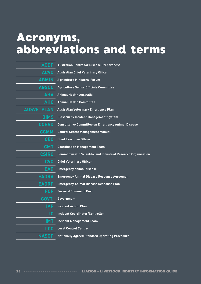### Acronyms, abbreviations and terms

| <b>ACDP</b>       | <b>Australian Centre for Disease Prepareness</b>                    |
|-------------------|---------------------------------------------------------------------|
| <b>ACVO</b>       | <b>Australian Chief Veterinary Officer</b>                          |
| <b>AGMIN</b>      | <b>Agriculture Ministers' Forum</b>                                 |
| <b>AGSOC</b>      | <b>Agriculture Senior Officials Committee</b>                       |
| <b>AHA</b>        | <b>Animal Health Australia</b>                                      |
| <b>AHC</b>        | <b>Animal Health Committee</b>                                      |
| <b>AUSVETPLAN</b> | <b>Australian Veterinary Emergency Plan</b>                         |
| <b>BIMS</b>       | <b>Biosecurity Incident Management System</b>                       |
| <b>CCEAD</b>      | <b>Consultative Committee on Emergency Animal Disease</b>           |
| <b>CCMM</b>       | <b>Control Centre Management Manual</b>                             |
| <b>CEO</b>        | <b>Chief Executive Officer</b>                                      |
| <b>CMT</b>        | <b>Coordination Management Team</b>                                 |
| <b>CSIRO</b>      | <b>Commonwealth Scientific and Industrial Research Organisation</b> |
| <b>CVO</b>        | <b>Chief Veterinary Officer</b>                                     |
| <b>EAD</b>        | <b>Emergency animal disease</b>                                     |
| <b>EADRA</b>      | <b>Emergency Animal Disease Response Agreement</b>                  |
| <b>EADRP</b>      | <b>Emergency Animal Disease Response Plan</b>                       |
| <b>FCP</b>        | <b>Forward Command Post</b>                                         |
| GOVT.             | Government                                                          |
| <b>IAP</b>        | <b>Incident Action Plan</b>                                         |
| IC                | Incident Coordinator/Controller                                     |
| <b>IMT</b>        | <b>Incident Management Team</b>                                     |
| <b>LCC</b>        | <b>Local Control Centre</b>                                         |
| <b>NASOP</b>      | <b>Nationally Agreed Standard Operating Procedure</b>               |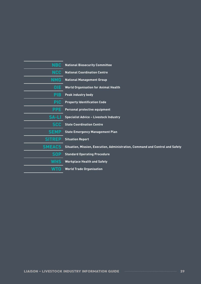| <b>NBC</b>    | <b>National Biosecurity Committee</b>                                         |
|---------------|-------------------------------------------------------------------------------|
| <b>NCC</b>    | <b>National Coordination Centre</b>                                           |
| <b>NMG</b>    | <b>National Management Group</b>                                              |
| <b>OIE</b>    | <b>World Organisation for Animal Health</b>                                   |
| <b>PIB</b>    | <b>Peak industry body</b>                                                     |
| <b>PIC</b>    | <b>Property Identification Code</b>                                           |
| <b>PPE</b>    | Personal protective equipment                                                 |
| <b>SA-LI</b>  | <b>Specialist Advice - Livestock Industry</b>                                 |
| <b>SCC</b>    | <b>State Coordination Centre</b>                                              |
| <b>SEMP</b>   | <b>State Emergency Management Plan</b>                                        |
| <b>SITREP</b> | <b>Situation Report</b>                                                       |
| <b>SMEACS</b> | Situation, Mission, Execution, Administration, Command and Control and Safety |
| <b>SOP</b>    | <b>Standard Operating Procedure</b>                                           |
| <b>WHS</b>    | <b>Workplace Health and Safety</b>                                            |
| <b>WTO</b>    | <b>World Trade Organisation</b>                                               |
|               |                                                                               |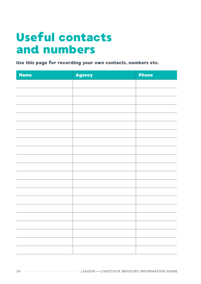## Useful contacts and numbers

Use this page for recording your own contacts, numbers etc.

| <b>Name</b> | <b>Agency</b> | <b>Phone</b> |
|-------------|---------------|--------------|
|             |               |              |
|             |               |              |
|             |               |              |
|             |               |              |
|             |               |              |
|             |               |              |
|             |               |              |
|             |               |              |
|             |               |              |
|             |               |              |
|             |               |              |
|             |               |              |
|             |               |              |
|             |               |              |
|             |               |              |
|             |               |              |
|             |               |              |
|             |               |              |
|             |               |              |
|             |               |              |
|             |               |              |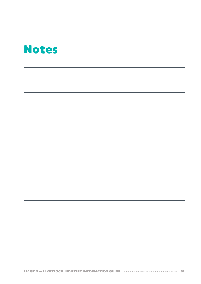### Notes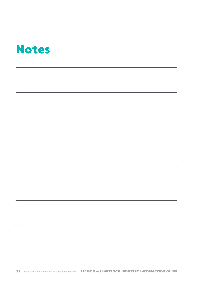

| → South Contract Contract Contract Contract Contract Contract Contract Contract Contract Contract Contract Con |                          |
|----------------------------------------------------------------------------------------------------------------|--------------------------|
|                                                                                                                |                          |
|                                                                                                                |                          |
|                                                                                                                | $\overline{\phantom{0}}$ |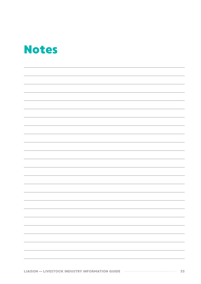### Notes